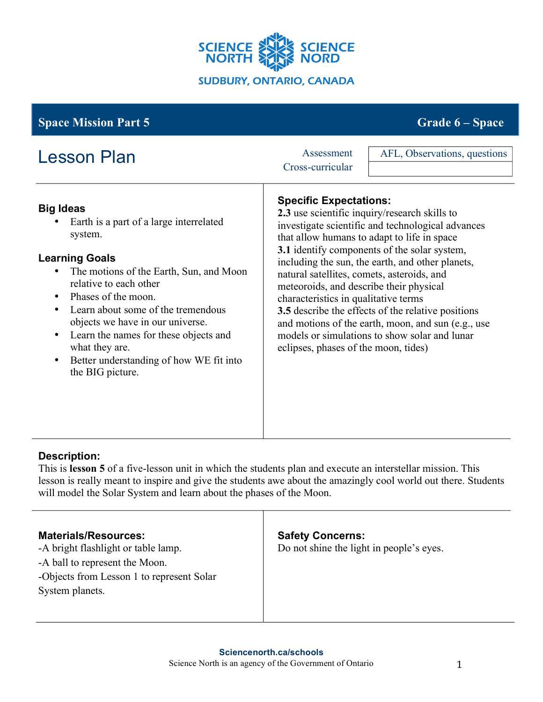

# **Space Mission Part 5** Grade **6** – **Space** Grade **6** – **Space**

| <b>Lesson Plan</b>                                                                                                                                                                                                                                                                                                                                                                                                                     | Assessment<br>Cross-curricular                                                                                                                                                                         | AFL, Observations, questions                                                                                                                                                                                                                                                                                                                                                                                              |
|----------------------------------------------------------------------------------------------------------------------------------------------------------------------------------------------------------------------------------------------------------------------------------------------------------------------------------------------------------------------------------------------------------------------------------------|--------------------------------------------------------------------------------------------------------------------------------------------------------------------------------------------------------|---------------------------------------------------------------------------------------------------------------------------------------------------------------------------------------------------------------------------------------------------------------------------------------------------------------------------------------------------------------------------------------------------------------------------|
| <b>Big Ideas</b><br>Earth is a part of a large interrelated<br>system.<br><b>Learning Goals</b><br>The motions of the Earth, Sun, and Moon<br>relative to each other<br>Phases of the moon.<br>$\bullet$<br>Learn about some of the tremendous<br>$\bullet$<br>objects we have in our universe.<br>Learn the names for these objects and<br>$\bullet$<br>what they are.<br>Better understanding of how WE fit into<br>the BIG picture. | <b>Specific Expectations:</b><br>natural satellites, comets, asteroids, and<br>meteoroids, and describe their physical<br>characteristics in qualitative terms<br>eclipses, phases of the moon, tides) | 2.3 use scientific inquiry/research skills to<br>investigate scientific and technological advances<br>that allow humans to adapt to life in space<br><b>3.1</b> identify components of the solar system,<br>including the sun, the earth, and other planets,<br>3.5 describe the effects of the relative positions<br>and motions of the earth, moon, and sun (e.g., use<br>models or simulations to show solar and lunar |

## **Description:**

This is **lesson 5** of a five-lesson unit in which the students plan and execute an interstellar mission. This lesson is really meant to inspire and give the students awe about the amazingly cool world out there. Students will model the Solar System and learn about the phases of the Moon.

### **Materials/Resources:**

-A bright flashlight or table lamp. -A ball to represent the Moon. -Objects from Lesson 1 to represent Solar System planets.

### **Safety Concerns:**

Do not shine the light in people's eyes.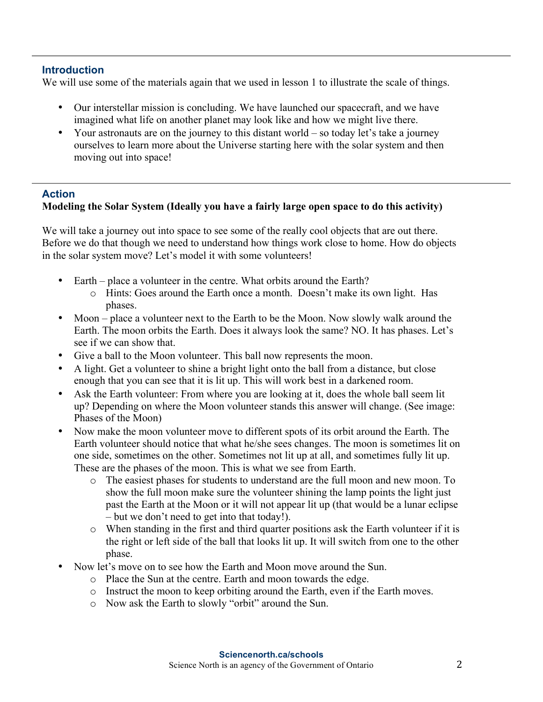#### **Introduction**

We will use some of the materials again that we used in lesson 1 to illustrate the scale of things.

- Our interstellar mission is concluding. We have launched our spacecraft, and we have imagined what life on another planet may look like and how we might live there.
- Your astronauts are on the journey to this distant world so today let's take a journey ourselves to learn more about the Universe starting here with the solar system and then moving out into space!

### **Action**

### **Modeling the Solar System (Ideally you have a fairly large open space to do this activity)**

We will take a journey out into space to see some of the really cool objects that are out there. Before we do that though we need to understand how things work close to home. How do objects in the solar system move? Let's model it with some volunteers!

- Earth place a volunteer in the centre. What orbits around the Earth?
	- o Hints: Goes around the Earth once a month. Doesn't make its own light. Has phases.
- Moon place a volunteer next to the Earth to be the Moon. Now slowly walk around the Earth. The moon orbits the Earth. Does it always look the same? NO. It has phases. Let's see if we can show that.
- Give a ball to the Moon volunteer. This ball now represents the moon.
- A light. Get a volunteer to shine a bright light onto the ball from a distance, but close enough that you can see that it is lit up. This will work best in a darkened room.
- Ask the Earth volunteer: From where you are looking at it, does the whole ball seem lit up? Depending on where the Moon volunteer stands this answer will change. (See image: Phases of the Moon)
- Now make the moon volunteer move to different spots of its orbit around the Earth. The Earth volunteer should notice that what he/she sees changes. The moon is sometimes lit on one side, sometimes on the other. Sometimes not lit up at all, and sometimes fully lit up. These are the phases of the moon. This is what we see from Earth.
	- o The easiest phases for students to understand are the full moon and new moon. To show the full moon make sure the volunteer shining the lamp points the light just past the Earth at the Moon or it will not appear lit up (that would be a lunar eclipse – but we don't need to get into that today!).
	- o When standing in the first and third quarter positions ask the Earth volunteer if it is the right or left side of the ball that looks lit up. It will switch from one to the other phase.
- Now let's move on to see how the Earth and Moon move around the Sun.
	- o Place the Sun at the centre. Earth and moon towards the edge.
	- o Instruct the moon to keep orbiting around the Earth, even if the Earth moves.
	- o Now ask the Earth to slowly "orbit" around the Sun.